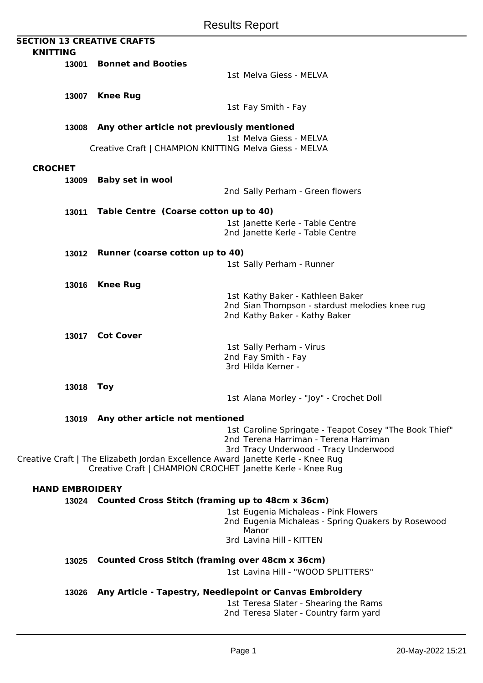|                 |                        | <b>SECTION 13 CREATIVE CRAFTS</b>                                               |                                                        |
|-----------------|------------------------|---------------------------------------------------------------------------------|--------------------------------------------------------|
| <b>KNITTING</b> |                        |                                                                                 |                                                        |
|                 | 13001                  | <b>Bonnet and Booties</b>                                                       |                                                        |
|                 |                        |                                                                                 | 1st Melva Giess - MELVA                                |
|                 |                        |                                                                                 |                                                        |
|                 | 13007                  | <b>Knee Rug</b>                                                                 |                                                        |
|                 |                        |                                                                                 |                                                        |
|                 |                        |                                                                                 | 1st Fay Smith - Fay                                    |
|                 |                        | 13008 Any other article not previously mentioned                                |                                                        |
|                 |                        |                                                                                 |                                                        |
|                 |                        |                                                                                 | 1st Melva Giess - MELVA                                |
|                 |                        | Creative Craft   CHAMPION KNITTING Melva Giess - MELVA                          |                                                        |
| <b>CROCHET</b>  |                        |                                                                                 |                                                        |
|                 |                        |                                                                                 |                                                        |
|                 | 13009                  | <b>Baby set in wool</b>                                                         |                                                        |
|                 |                        |                                                                                 | 2nd Sally Perham - Green flowers                       |
|                 |                        |                                                                                 |                                                        |
|                 | 13011                  | Table Centre (Coarse cotton up to 40)                                           |                                                        |
|                 |                        |                                                                                 | 1st Janette Kerle - Table Centre                       |
|                 |                        |                                                                                 | 2nd Janette Kerle - Table Centre                       |
|                 |                        |                                                                                 |                                                        |
|                 | 13012                  | Runner (coarse cotton up to 40)                                                 |                                                        |
|                 |                        |                                                                                 | 1st Sally Perham - Runner                              |
|                 |                        |                                                                                 |                                                        |
|                 | 13016                  | <b>Knee Rug</b>                                                                 |                                                        |
|                 |                        |                                                                                 | 1st Kathy Baker - Kathleen Baker                       |
|                 |                        |                                                                                 | 2nd Sian Thompson - stardust melodies knee rug         |
|                 |                        |                                                                                 | 2nd Kathy Baker - Kathy Baker                          |
|                 |                        |                                                                                 |                                                        |
|                 | 13017                  | <b>Cot Cover</b>                                                                |                                                        |
|                 |                        |                                                                                 | 1st Sally Perham - Virus                               |
|                 |                        |                                                                                 | 2nd Fay Smith - Fay                                    |
|                 |                        |                                                                                 | 3rd Hilda Kerner -                                     |
|                 |                        |                                                                                 |                                                        |
|                 | 13018                  | <b>Toy</b>                                                                      |                                                        |
|                 |                        |                                                                                 | 1st Alana Morley - "Joy" - Crochet Doll                |
|                 |                        |                                                                                 |                                                        |
|                 |                        | 13019 Any other article not mentioned                                           |                                                        |
|                 |                        |                                                                                 | 1st Caroline Springate - Teapot Cosey "The Book Thief" |
|                 |                        |                                                                                 | 2nd Terena Harriman - Terena Harriman                  |
|                 |                        | Creative Craft   The Elizabeth Jordan Excellence Award Janette Kerle - Knee Rug | 3rd Tracy Underwood - Tracy Underwood                  |
|                 |                        | Creative Craft   CHAMPION CROCHET Janette Kerle - Knee Rug                      |                                                        |
|                 |                        |                                                                                 |                                                        |
|                 | <b>HAND EMBROIDERY</b> |                                                                                 |                                                        |
|                 |                        | 13024 Counted Cross Stitch (framing up to 48cm x 36cm)                          |                                                        |
|                 |                        |                                                                                 | 1st Eugenia Michaleas - Pink Flowers                   |
|                 |                        |                                                                                 | 2nd Eugenia Michaleas - Spring Quakers by Rosewood     |
|                 |                        |                                                                                 | Manor                                                  |
|                 |                        |                                                                                 | 3rd Lavina Hill - KITTEN                               |
|                 |                        |                                                                                 |                                                        |
|                 | 13025                  | <b>Counted Cross Stitch (framing over 48cm x 36cm)</b>                          |                                                        |
|                 |                        |                                                                                 | 1st Lavina Hill - "WOOD SPLITTERS"                     |
|                 |                        |                                                                                 |                                                        |
|                 |                        | 13026 Any Article - Tapestry, Needlepoint or Canvas Embroidery                  |                                                        |
|                 |                        |                                                                                 | 1st Teresa Slater - Shearing the Rams                  |
|                 |                        |                                                                                 | 2nd Teresa Slater - Country farm yard                  |
|                 |                        |                                                                                 |                                                        |
|                 |                        |                                                                                 |                                                        |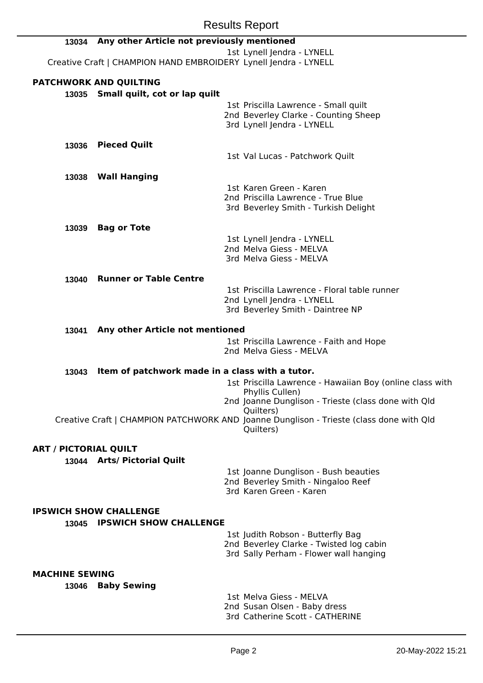|                              | <b>Results Report</b>                                            |                                                                                                      |
|------------------------------|------------------------------------------------------------------|------------------------------------------------------------------------------------------------------|
| 13034                        | Any other Article not previously mentioned                       |                                                                                                      |
|                              | Creative Craft   CHAMPION HAND EMBROIDERY Lynell Jendra - LYNELL | 1st Lynell Jendra - LYNELL                                                                           |
|                              | <b>PATCHWORK AND QUILTING</b>                                    |                                                                                                      |
|                              | 13035 Small quilt, cot or lap quilt                              |                                                                                                      |
|                              |                                                                  | 1st Priscilla Lawrence - Small quilt                                                                 |
|                              |                                                                  | 2nd Beverley Clarke - Counting Sheep<br>3rd Lynell Jendra - LYNELL                                   |
|                              |                                                                  |                                                                                                      |
| 13036                        | <b>Pieced Quilt</b>                                              |                                                                                                      |
|                              |                                                                  | 1st Val Lucas - Patchwork Quilt                                                                      |
| 13038                        | <b>Wall Hanging</b>                                              |                                                                                                      |
|                              |                                                                  | 1st Karen Green - Karen                                                                              |
|                              |                                                                  | 2nd Priscilla Lawrence - True Blue<br>3rd Beverley Smith - Turkish Delight                           |
|                              |                                                                  |                                                                                                      |
| 13039                        | <b>Bag or Tote</b>                                               |                                                                                                      |
|                              |                                                                  | 1st Lynell Jendra - LYNELL<br>2nd Melva Giess - MELVA                                                |
|                              |                                                                  | 3rd Melva Giess - MELVA                                                                              |
| 13040                        | <b>Runner or Table Centre</b>                                    |                                                                                                      |
|                              |                                                                  | 1st Priscilla Lawrence - Floral table runner                                                         |
|                              |                                                                  | 2nd Lynell Jendra - LYNELL                                                                           |
|                              |                                                                  | 3rd Beverley Smith - Daintree NP                                                                     |
| 13041                        | Any other Article not mentioned                                  |                                                                                                      |
|                              |                                                                  | 1st Priscilla Lawrence - Faith and Hope                                                              |
|                              |                                                                  | 2nd Melva Giess - MELVA                                                                              |
| 13043                        | Item of patchwork made in a class with a tutor.                  |                                                                                                      |
|                              |                                                                  | 1st Priscilla Lawrence - Hawaiian Boy (online class with                                             |
|                              |                                                                  | Phyllis Cullen)<br>2nd Joanne Dunglison - Trieste (class done with Qld                               |
|                              |                                                                  | Quilters)                                                                                            |
|                              |                                                                  | Creative Craft   CHAMPION PATCHWORK AND Joanne Dunglison - Trieste (class done with Qld<br>Quilters) |
|                              |                                                                  |                                                                                                      |
| <b>ART / PICTORIAL QUILT</b> |                                                                  |                                                                                                      |
|                              | 13044 Arts/ Pictorial Quilt                                      | 1st Joanne Dunglison - Bush beauties                                                                 |
|                              |                                                                  | 2nd Beverley Smith - Ningaloo Reef                                                                   |
|                              |                                                                  | 3rd Karen Green - Karen                                                                              |
|                              | <b>IPSWICH SHOW CHALLENGE</b>                                    |                                                                                                      |
|                              | 13045 IPSWICH SHOW CHALLENGE                                     |                                                                                                      |
|                              |                                                                  | 1st Judith Robson - Butterfly Bag                                                                    |
|                              |                                                                  | 2nd Beverley Clarke - Twisted log cabin<br>3rd Sally Perham - Flower wall hanging                    |
|                              |                                                                  |                                                                                                      |
| <b>MACHINE SEWING</b>        |                                                                  |                                                                                                      |
| 13046                        | <b>Baby Sewing</b>                                               | 1st Melva Giess - MELVA                                                                              |
|                              |                                                                  | 2nd Susan Olsen - Baby dress                                                                         |

3rd Catherine Scott - CATHERINE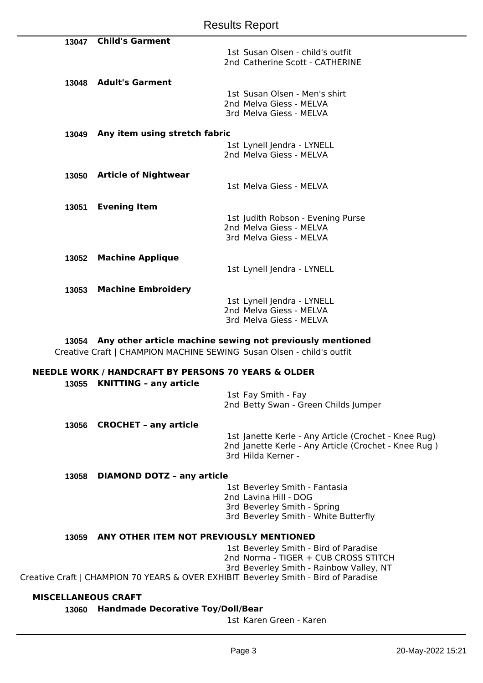| 13047 | <b>Child's Garment</b>        |                                                                     |
|-------|-------------------------------|---------------------------------------------------------------------|
|       |                               | 1st Susan Olsen - child's outfit<br>2nd Catherine Scott - CATHERINE |
|       |                               |                                                                     |
| 13048 | <b>Adult's Garment</b>        |                                                                     |
|       |                               | 1st Susan Olsen - Men's shirt<br>2nd Melva Giess - MELVA            |
|       |                               | 3rd Melva Giess - MELVA                                             |
| 13049 | Any item using stretch fabric |                                                                     |
|       |                               |                                                                     |
|       |                               | 1st Lynell Jendra - LYNELL                                          |
|       |                               | 2nd Melva Giess - MELVA                                             |
| 13050 | <b>Article of Nightwear</b>   |                                                                     |
|       |                               | 1st Melva Giess - MELVA                                             |
| 13051 | <b>Evening Item</b>           |                                                                     |
|       |                               |                                                                     |
|       |                               | 1st Judith Robson - Evening Purse<br>2nd Melva Giess - MELVA        |
|       |                               | 3rd Melva Giess - MELVA                                             |
|       |                               |                                                                     |
| 13052 | <b>Machine Applique</b>       |                                                                     |
|       |                               | 1st Lynell Jendra - LYNELL                                          |
| 13053 | <b>Machine Embroidery</b>     |                                                                     |
|       |                               | 1st Lynell Jendra - LYNELL                                          |
|       |                               | 2nd Melva Giess - MELVA                                             |
|       |                               | 3rd Melva Giess - MELVA                                             |
|       |                               |                                                                     |

**13054 Any other article machine sewing not previously mentioned** Creative Craft | CHAMPION MACHINE SEWING Susan Olsen - child's outfit

## **NEEDLE WORK / HANDCRAFT BY PERSONS 70 YEARS & OLDER**

**13055 KNITTING – any article**

1st Fay Smith - Fay 2nd Betty Swan - Green Childs Jumper

**13056 CROCHET – any article**

1st Janette Kerle - Any Article (Crochet - Knee Rug) 2nd Janette Kerle - Any Article (Crochet - Knee Rug ) 3rd Hilda Kerner -

## **13058 DIAMOND DOTZ – any article**

1st Beverley Smith - Fantasia

- 2nd Lavina Hill DOG
- 3rd Beverley Smith Spring
- 3rd Beverley Smith White Butterfly

## **13059 ANY OTHER ITEM NOT PREVIOUSLY MENTIONED**

1st Beverley Smith - Bird of Paradise

- 2nd Norma TIGER + CUB CROSS STITCH
- 3rd Beverley Smith Rainbow Valley, NT

Creative Craft | CHAMPION 70 YEARS & OVER EXHIBIT Beverley Smith - Bird of Paradise

## **MISCELLANEOUS CRAFT**

**13060 Handmade Decorative Toy/Doll/Bear**

1st Karen Green - Karen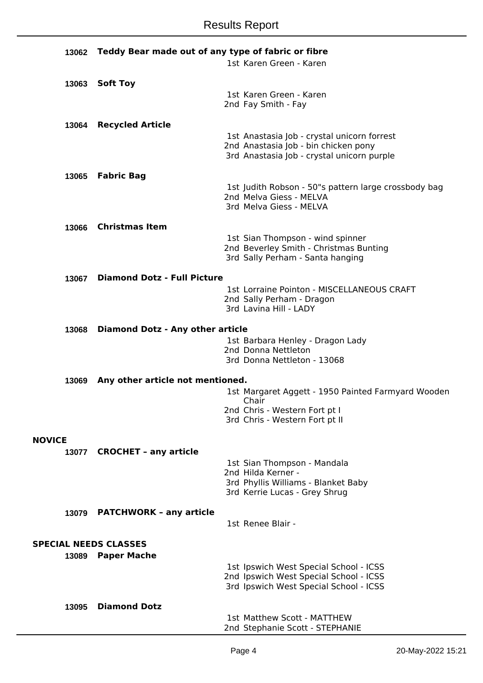| 13062         | Teddy Bear made out of any type of fabric or fibre |  |                                                                                  |
|---------------|----------------------------------------------------|--|----------------------------------------------------------------------------------|
|               |                                                    |  | 1st Karen Green - Karen                                                          |
|               |                                                    |  |                                                                                  |
| 13063         | <b>Soft Toy</b>                                    |  | 1st Karen Green - Karen                                                          |
|               |                                                    |  | 2nd Fay Smith - Fay                                                              |
|               |                                                    |  |                                                                                  |
| 13064         | <b>Recycled Article</b>                            |  | 1st Anastasia Job - crystal unicorn forrest                                      |
|               |                                                    |  | 2nd Anastasia Job - bin chicken pony                                             |
|               |                                                    |  | 3rd Anastasia Job - crystal unicorn purple                                       |
| 13065         | <b>Fabric Bag</b>                                  |  |                                                                                  |
|               |                                                    |  | 1st Judith Robson - 50"s pattern large crossbody bag                             |
|               |                                                    |  | 2nd Melva Giess - MELVA                                                          |
|               |                                                    |  | 3rd Melva Giess - MELVA                                                          |
| 13066         | <b>Christmas Item</b>                              |  |                                                                                  |
|               |                                                    |  | 1st Sian Thompson - wind spinner                                                 |
|               |                                                    |  | 2nd Beverley Smith - Christmas Bunting                                           |
|               |                                                    |  | 3rd Sally Perham - Santa hanging                                                 |
| 13067         | <b>Diamond Dotz - Full Picture</b>                 |  |                                                                                  |
|               |                                                    |  | 1st Lorraine Pointon - MISCELLANEOUS CRAFT                                       |
|               |                                                    |  | 2nd Sally Perham - Dragon<br>3rd Lavina Hill - LADY                              |
|               |                                                    |  |                                                                                  |
| 13068         | <b>Diamond Dotz - Any other article</b>            |  |                                                                                  |
|               |                                                    |  | 1st Barbara Henley - Dragon Lady<br>2nd Donna Nettleton                          |
|               |                                                    |  | 3rd Donna Nettleton - 13068                                                      |
|               |                                                    |  |                                                                                  |
| 13069         | Any other article not mentioned.                   |  |                                                                                  |
|               |                                                    |  | 1st Margaret Aggett - 1950 Painted Farmyard Wooden<br>Chair                      |
|               |                                                    |  | 2nd Chris - Western Fort pt I                                                    |
|               |                                                    |  | 3rd Chris - Western Fort pt II                                                   |
| <b>NOVICE</b> |                                                    |  |                                                                                  |
| 13077         | <b>CROCHET - any article</b>                       |  |                                                                                  |
|               |                                                    |  | 1st Sian Thompson - Mandala                                                      |
|               |                                                    |  | 2nd Hilda Kerner -<br>3rd Phyllis Williams - Blanket Baby                        |
|               |                                                    |  | 3rd Kerrie Lucas - Grey Shrug                                                    |
|               |                                                    |  |                                                                                  |
| 13079         | <b>PATCHWORK - any article</b>                     |  | 1st Renee Blair -                                                                |
|               |                                                    |  |                                                                                  |
|               | <b>SPECIAL NEEDS CLASSES</b>                       |  |                                                                                  |
| 13089         | <b>Paper Mache</b>                                 |  |                                                                                  |
|               |                                                    |  | 1st Ipswich West Special School - ICSS<br>2nd Ipswich West Special School - ICSS |
|               |                                                    |  | 3rd Ipswich West Special School - ICSS                                           |
|               |                                                    |  |                                                                                  |
| 13095         | <b>Diamond Dotz</b>                                |  | 1st Matthew Scott - MATTHEW                                                      |
|               |                                                    |  | 2nd Stephanie Scott - STEPHANIE                                                  |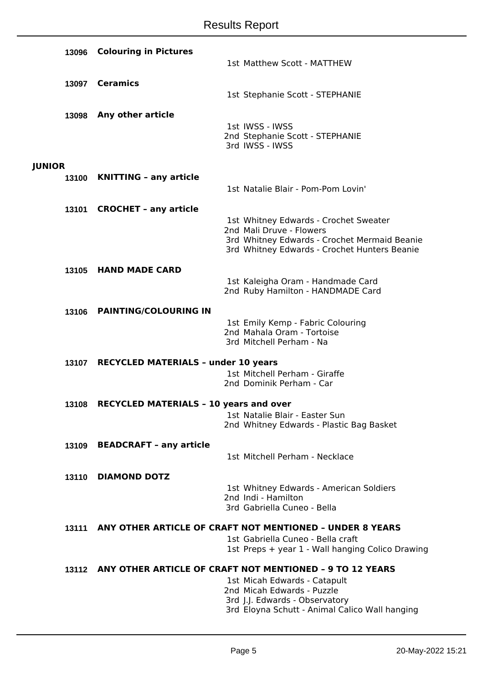|               | 13096 | <b>Colouring in Pictures</b>                  |                                                                                              |
|---------------|-------|-----------------------------------------------|----------------------------------------------------------------------------------------------|
|               |       |                                               | 1st Matthew Scott - MATTHEW                                                                  |
|               | 13097 | <b>Ceramics</b>                               |                                                                                              |
|               |       |                                               | 1st Stephanie Scott - STEPHANIE                                                              |
|               | 13098 | Any other article                             |                                                                                              |
|               |       |                                               | 1st IWSS - IWSS                                                                              |
|               |       |                                               | 2nd Stephanie Scott - STEPHANIE<br>3rd IWSS - IWSS                                           |
|               |       |                                               |                                                                                              |
| <b>JUNIOR</b> |       | 13100 KNITTING - any article                  |                                                                                              |
|               |       |                                               | 1st Natalie Blair - Pom-Pom Lovin'                                                           |
|               | 13101 | <b>CROCHET - any article</b>                  |                                                                                              |
|               |       |                                               | 1st Whitney Edwards - Crochet Sweater                                                        |
|               |       |                                               | 2nd Mali Druve - Flowers                                                                     |
|               |       |                                               | 3rd Whitney Edwards - Crochet Mermaid Beanie<br>3rd Whitney Edwards - Crochet Hunters Beanie |
|               | 13105 | <b>HAND MADE CARD</b>                         |                                                                                              |
|               |       |                                               | 1st Kaleigha Oram - Handmade Card                                                            |
|               |       |                                               | 2nd Ruby Hamilton - HANDMADE Card                                                            |
|               | 13106 | <b>PAINTING/COLOURING IN</b>                  |                                                                                              |
|               |       |                                               | 1st Emily Kemp - Fabric Colouring                                                            |
|               |       |                                               | 2nd Mahala Oram - Tortoise<br>3rd Mitchell Perham - Na                                       |
|               |       | 13107 RECYCLED MATERIALS - under 10 years     |                                                                                              |
|               |       |                                               | 1st Mitchell Perham - Giraffe                                                                |
|               |       |                                               | 2nd Dominik Perham - Car                                                                     |
|               | 13108 | <b>RECYCLED MATERIALS - 10 years and over</b> |                                                                                              |
|               |       |                                               | 1st Natalie Blair - Easter Sun<br>2nd Whitney Edwards - Plastic Bag Basket                   |
|               |       |                                               |                                                                                              |
|               | 13109 | <b>BEADCRAFT - any article</b>                |                                                                                              |
|               |       |                                               | 1st Mitchell Perham - Necklace                                                               |
|               | 13110 | <b>DIAMOND DOTZ</b>                           |                                                                                              |
|               |       |                                               | 1st Whitney Edwards - American Soldiers<br>2nd Indi - Hamilton                               |
|               |       |                                               | 3rd Gabriella Cuneo - Bella                                                                  |
|               | 13111 |                                               | ANY OTHER ARTICLE OF CRAFT NOT MENTIONED - UNDER 8 YEARS                                     |
|               |       |                                               | 1st Gabriella Cuneo - Bella craft                                                            |
|               |       |                                               | 1st Preps + year 1 - Wall hanging Colico Drawing                                             |
|               |       |                                               | 13112 ANY OTHER ARTICLE OF CRAFT NOT MENTIONED - 9 TO 12 YEARS                               |
|               |       |                                               | 1st Micah Edwards - Catapult<br>2nd Micah Edwards - Puzzle                                   |
|               |       |                                               | 3rd J.J. Edwards - Observatory                                                               |
|               |       |                                               | 3rd Eloyna Schutt - Animal Calico Wall hanging                                               |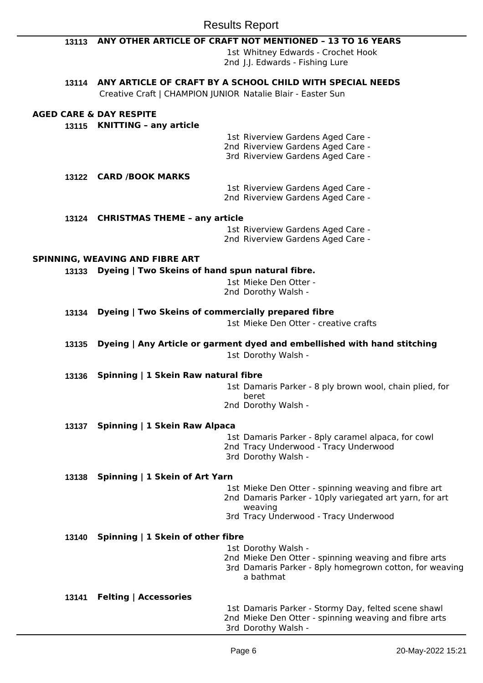|       | <b>Results Report</b>                                                                                                         |
|-------|-------------------------------------------------------------------------------------------------------------------------------|
| 13113 | ANY OTHER ARTICLE OF CRAFT NOT MENTIONED - 13 TO 16 YEARS                                                                     |
|       | 1st Whitney Edwards - Crochet Hook<br>2nd J.J. Edwards - Fishing Lure                                                         |
|       | 13114 ANY ARTICLE OF CRAFT BY A SCHOOL CHILD WITH SPECIAL NEEDS                                                               |
|       | Creative Craft   CHAMPION JUNIOR Natalie Blair - Easter Sun                                                                   |
|       | <b>AGED CARE &amp; DAY RESPITE</b>                                                                                            |
| 13115 | <b>KNITTING - any article</b>                                                                                                 |
|       | 1st Riverview Gardens Aged Care -<br>2nd Riverview Gardens Aged Care -                                                        |
|       | 3rd Riverview Gardens Aged Care -                                                                                             |
|       | 13122 CARD /BOOK MARKS                                                                                                        |
|       | 1st Riverview Gardens Aged Care -                                                                                             |
|       | 2nd Riverview Gardens Aged Care -                                                                                             |
| 13124 | <b>CHRISTMAS THEME - any article</b>                                                                                          |
|       | 1st Riverview Gardens Aged Care -<br>2nd Riverview Gardens Aged Care -                                                        |
|       |                                                                                                                               |
|       | SPINNING, WEAVING AND FIBRE ART                                                                                               |
| 13133 | Dyeing   Two Skeins of hand spun natural fibre.<br>1st Mieke Den Otter -                                                      |
|       | 2nd Dorothy Walsh -                                                                                                           |
| 13134 | Dyeing   Two Skeins of commercially prepared fibre                                                                            |
|       | 1st Mieke Den Otter - creative crafts                                                                                         |
| 13135 | Dyeing   Any Article or garment dyed and embellished with hand stitching                                                      |
|       | 1st Dorothy Walsh -                                                                                                           |
| 13136 | Spinning   1 Skein Raw natural fibre                                                                                          |
|       | 1st Damaris Parker - 8 ply brown wool, chain plied, for                                                                       |
|       | beret<br>2nd Dorothy Walsh -                                                                                                  |
|       |                                                                                                                               |
| 13137 | Spinning   1 Skein Raw Alpaca<br>1st Damaris Parker - 8ply caramel alpaca, for cowl                                           |
|       | 2nd Tracy Underwood - Tracy Underwood                                                                                         |
|       | 3rd Dorothy Walsh -                                                                                                           |
| 13138 | Spinning   1 Skein of Art Yarn                                                                                                |
|       | 1st Mieke Den Otter - spinning weaving and fibre art<br>2nd Damaris Parker - 10ply variegated art yarn, for art               |
|       | weaving                                                                                                                       |
|       | 3rd Tracy Underwood - Tracy Underwood                                                                                         |
| 13140 | Spinning   1 Skein of other fibre                                                                                             |
|       | 1st Dorothy Walsh -                                                                                                           |
|       | 2nd Mieke Den Otter - spinning weaving and fibre arts<br>3rd Damaris Parker - 8ply homegrown cotton, for weaving<br>a bathmat |
| 13141 | <b>Felting   Accessories</b>                                                                                                  |
|       | 1st Damaris Parker - Stormy Day, felted scene shawl<br>2nd Mieke Den Otter - spinning weaving and fibre arts                  |

3rd Dorothy Walsh -